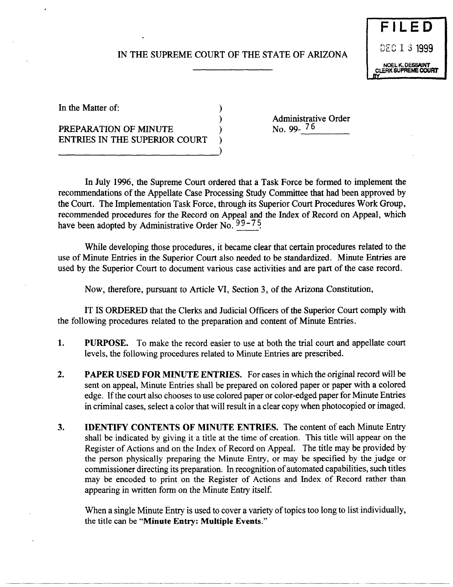## IN THE SUPREME COURT OF THE STATE OF ARIZONA

)



----- ------

In the Matter of:

PREPARATION OF MINUTE ENTRIES IN THE SUPERIOR COURT ---------------------------) Administrative Order<br>No. 99-<sup>76</sup>

In July 1996, the Supreme Court ordered that a Task Force be formed to implement the recommendations of the Appellate Case Processing Study Committee that had been approved by the Court. The Implementation Task Force, through its Superior Court Procedures Work Group, recommended procedures for the Record on Appeal and the Index of Record on Appeal, which have been adopted by Administrative Order No.  $99-75$ 

While developing those procedures, it became clear that certain procedures related to the use of Minute Entries in the Superior Court also needed to be standardized. Minute Entries are used by the Superior Court to document various case activities and are part of the case record.

Now, therefore, pursuant to Article VI, Section 3, of the Arizona Constitution,

IT IS ORDERED that the Clerks and Judicial Officers of the Superior Court comply with the following procedures related to the preparation and content of Minute Entries.

- 1. PURPOSE. To make the record easier to use at both the trial court and appellate court levels, the following procedures related to Minute Entries are prescribed.
- 2. PAPER USED FOR MINUTE ENTRIES. For cases in which the original record will be sent on appeal, Minute Entries shall be prepared on colored paper or paper with a colored edge. If the court also chooses to use colored paper or color-edged paper for Minute Entries in criminal cases, select a color that will result in a clear copy when photocopied or imaged.
- 3. IDENTIFY CONTENTS OF MINUTE ENTRIES. The content of each Minute Entry shall be indicated by giving it a title at the time of creation. This title will appear on the Register of Actions and on the Index of Record on Appeal. The title may be provided by the person physically preparing the Minute Entry, or may be specified by the judge or commissioner directing its preparation. In recognition of automated capabilities, such titles may be encoded to print on the Register of Actions and Index of Record rather than appearing in written form on the Minute Entry itself.

When a single Minute Entry is used to cover a variety of topics too long to list individually, the title can be "Minute Entry: MUltiple Events."